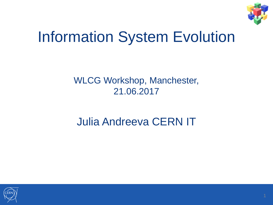

### Information System Evolution

#### WLCG Workshop, Manchester, 21.06.2017

#### Julia Andreeva CERN IT

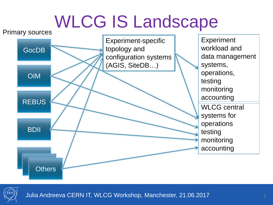## WLCG IS Landscape





Julia Andreeva CERN IT, WLCG Workshop, Manchester, 21.06.2017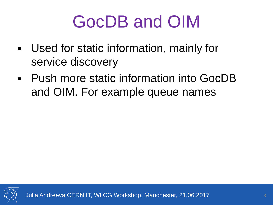# GocDB and OIM

- Used for static information, mainly for service discovery
- Push more static information into GocDB and OIM. For example queue names

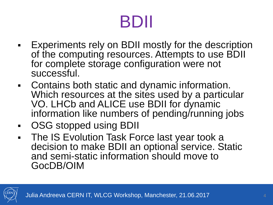# BDII

- Experiments rely on BDII mostly for the description of the computing resources. Attempts to use BDII for complete storage configuration were not successful.
- Contains both static and dynamic information. Which resources at the sites used by a particular VO. LHCb and ALICE use BDII for dynamic information like numbers of pending/running jobs
- OSG stopped using BDII
- **The IS Evolution Task Force last year took a** decision to make BDII an optional service. Static and semi-static information should move to GocDB/OIM

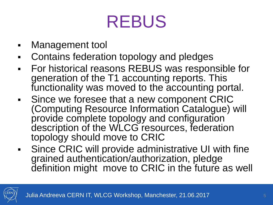## REBUS

- Management tool
- Contains federation topology and pledges
- For historical reasons REBUS was responsible for generation of the T1 accounting reports. This functionality was moved to the accounting portal.
- **Since we foresee that a new component CRIC** (Computing Resource Information Catalogue) will provide complete topology and configuration description of the WLCG resources, federation topology should move to CRIC
- Since CRIC will provide administrative UI with fine grained authentication/authorization, pledge definition might move to CRIC in the future as well

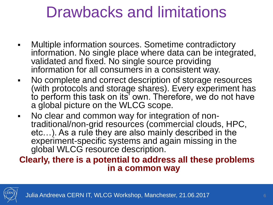#### Drawbacks and limitations

- Multiple information sources. Sometime contradictory information. No single place where data can be integrated, validated and fixed. No single source providing information for all consumers in a consistent way.
- No complete and correct description of storage resources (with protocols and storage shares). Every experiment has to perform this task on its' own. Therefore, we do not have a global picture on the WLCG scope.
- No clear and common way for integration of nontraditional/non-grid resources (commercial clouds, HPC, etc...). As a rule they are also mainly described in the experiment-specific systems and again missing in the global WLCG resource description.

#### **Clearly, there is a potential to address all these problems in a common way**